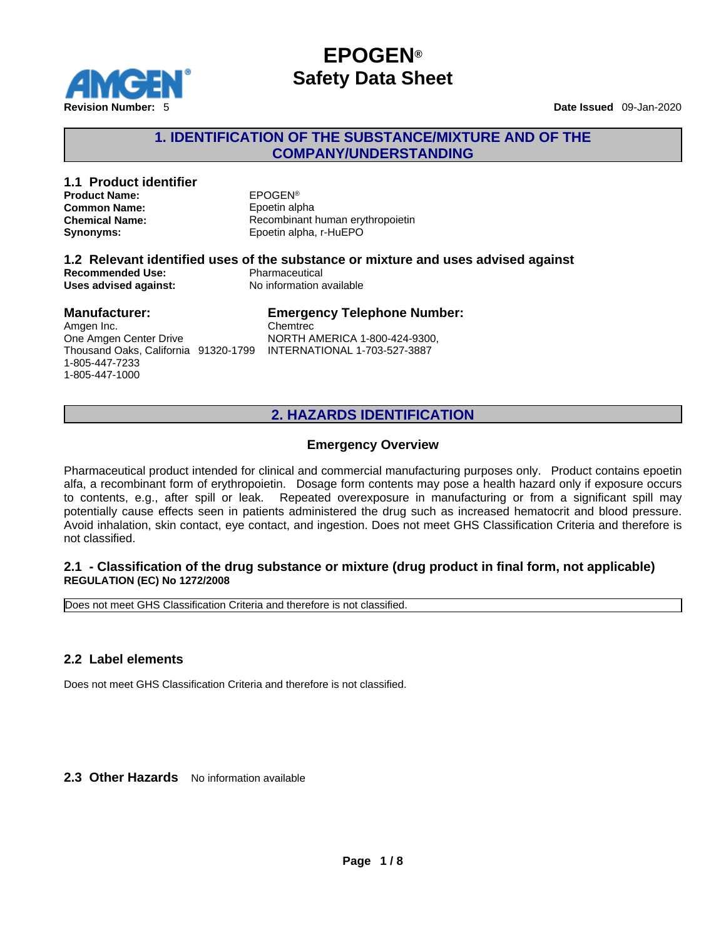

1-805-447-7233 1-805-447-1000

# **EPOGEN® Safety Data Sheet**

### **1. IDENTIFICATION OF THE SUBSTANCE/MIXTURE AND OF THE COMPANY/UNDERSTANDING**

| 1.1 Product identifier<br><b>Product Name:</b><br><b>Common Name:</b><br><b>Chemical Name:</b><br>Synonyms: | <b>EPOGEN®</b><br>Epoetin alpha<br>Recombinant human erythropoietin<br>Epoetin alpha, r-HuEPO                                   |
|-------------------------------------------------------------------------------------------------------------|---------------------------------------------------------------------------------------------------------------------------------|
| <b>Recommended Use:</b><br>Uses advised against:                                                            | 1.2 Relevant identified uses of the substance or mixture and uses advised against<br>Pharmaceutical<br>No information available |
| <b>Manufacturer:</b><br>Amgen Inc.<br>One Amgen Center Drive<br>Thousand Oaks, California 91320-1799        | <b>Emergency Telephone Number:</b><br>Chemtrec<br>NORTH AMERICA 1-800-424-9300,<br><b>INTERNATIONAL 1-703-527-3887</b>          |

# **2. HAZARDS IDENTIFICATION**

### **Emergency Overview**

Pharmaceutical product intended for clinical and commercial manufacturing purposes only. Product contains epoetin alfa, a recombinant form of erythropoietin. Dosage form contents maypose a health hazard only if exposure occurs to contents, e.g., after spill or leak. Repeated overexposure in manufacturing or from a significant spill may potentially cause effects seen in patients administered the drug such as increased hematocrit and blood pressure. Avoid inhalation, skin contact, eye contact, and ingestion. Does not meetGHS Classification Criteria and therefore is not classified.

### **2.1 - Classification of the drug substance or mixture (drug product in final form, not applicable) REGULATION (EC) No 1272/2008**

Does not meet GHS Classification Criteria and therefore is not classified.

### **2.2 Label elements**

Does not meet GHS Classification Criteria and therefore is not classified.

2.3 Other Hazards No information available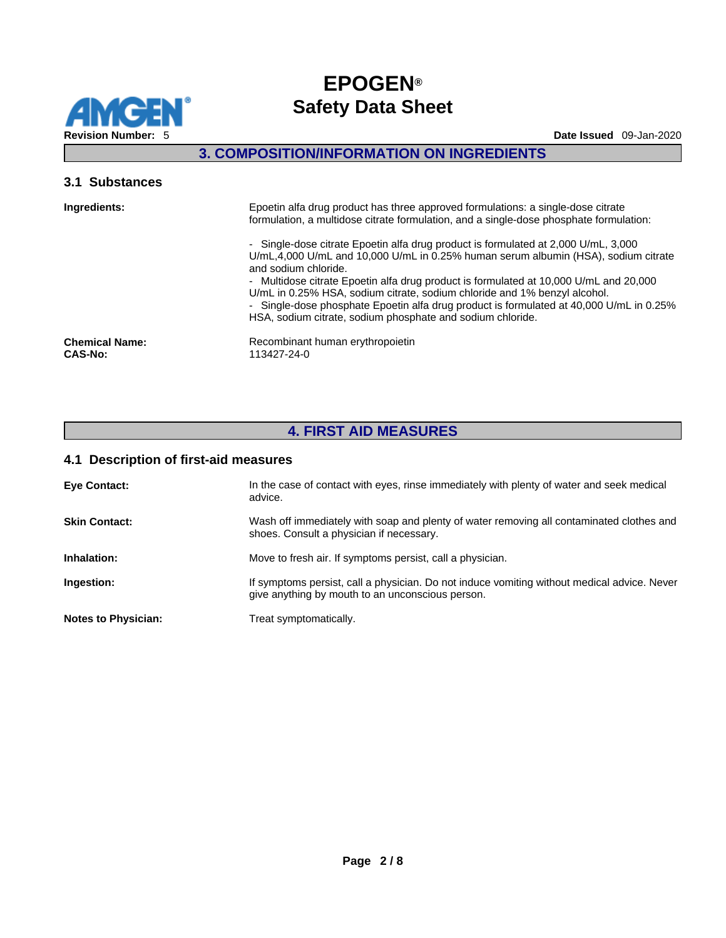

# **3. COMPOSITION/INFORMATION ON INGREDIENTS**

### **3.1 Substances**

| Ingredients:                            | Epoetin alfa drug product has three approved formulations: a single-dose citrate<br>formulation, a multidose citrate formulation, and a single-dose phosphate formulation:                                                                                                                                                                                                                                                                                                                                                      |
|-----------------------------------------|---------------------------------------------------------------------------------------------------------------------------------------------------------------------------------------------------------------------------------------------------------------------------------------------------------------------------------------------------------------------------------------------------------------------------------------------------------------------------------------------------------------------------------|
|                                         | - Single-dose citrate Epoetin alfa drug product is formulated at 2,000 U/mL, 3,000<br>U/mL,4,000 U/mL and 10,000 U/mL in 0.25% human serum albumin (HSA), sodium citrate<br>and sodium chloride.<br>- Multidose citrate Epoetin alfa drug product is formulated at 10,000 U/mL and 20,000<br>U/mL in 0.25% HSA, sodium citrate, sodium chloride and 1% benzyl alcohol.<br>- Single-dose phosphate Epoetin alfa drug product is formulated at 40,000 U/mL in 0.25%<br>HSA, sodium citrate, sodium phosphate and sodium chloride. |
| <b>Chemical Name:</b><br><b>CAS-No:</b> | Recombinant human erythropoietin<br>113427-24-0                                                                                                                                                                                                                                                                                                                                                                                                                                                                                 |
|                                         |                                                                                                                                                                                                                                                                                                                                                                                                                                                                                                                                 |

# **4. FIRST AID MEASURES**

### **4.1 Description of first-aid measures**

| <b>Eye Contact:</b>        | In the case of contact with eyes, rinse immediately with plenty of water and seek medical<br>advice.                                            |
|----------------------------|-------------------------------------------------------------------------------------------------------------------------------------------------|
| <b>Skin Contact:</b>       | Wash off immediately with soap and plenty of water removing all contaminated clothes and<br>shoes. Consult a physician if necessary.            |
| Inhalation:                | Move to fresh air. If symptoms persist, call a physician.                                                                                       |
| Ingestion:                 | If symptoms persist, call a physician. Do not induce vomiting without medical advice. Never<br>give anything by mouth to an unconscious person. |
| <b>Notes to Physician:</b> | Treat symptomatically.                                                                                                                          |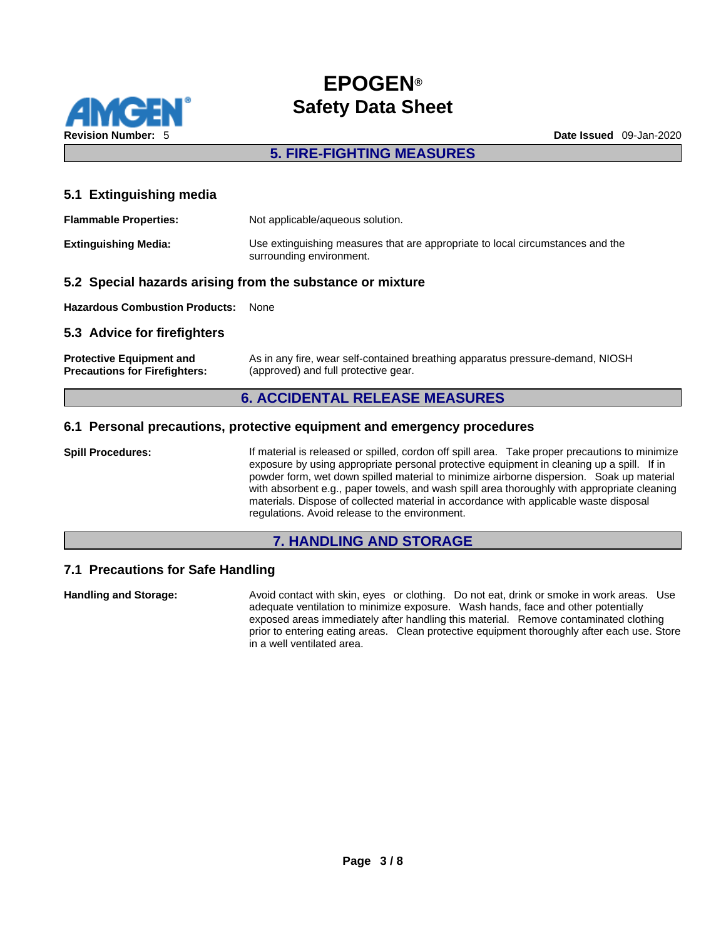

### **5. FIRE-FIGHTING MEASURES**

### **5.1 Extinguishing media**

| <b>Flammable Properties:</b> | Not applicable/aqueous solution.                                                                           |
|------------------------------|------------------------------------------------------------------------------------------------------------|
| <b>Extinguishing Media:</b>  | Use extinguishing measures that are appropriate to local circumstances and the<br>surrounding environment. |

### **5.2 Special hazards arising from the substance or mixture**

**Hazardous Combustion Products:** None

### **5.3 Advice for firefighters**

| <b>Protective Equipment and</b>      | As in any fire, wear self-contained breathing apparatus pressure-demand, NIOSH |
|--------------------------------------|--------------------------------------------------------------------------------|
| <b>Precautions for Firefighters:</b> | (approved) and full protective gear.                                           |

### **6. ACCIDENTAL RELEASE MEASURES**

### **6.1 Personal precautions, protective equipment and emergency procedures**

**Spill Procedures:** If material is released or spilled, cordon off spill area. Take proper precautions to minimize exposure by using appropriate personal protective equipment in cleaning up a spill. If in powder form, wet down spilled material to minimize airborne dispersion. Soak up material with absorbent e.g., paper towels, and wash spill area thoroughly with appropriate cleaning materials. Dispose of collected material in accordance with applicable waste disposal regulations. Avoid release to the environment.

### **7. HANDLING AND STORAGE**

### **7.1 Precautions for Safe Handling**

**Handling and Storage:** Avoid contact with skin, eyes or clothing. Do not eat, drink or smoke in work areas. Use adequate ventilation to minimize exposure. Wash hands, face and other potentially exposed areas immediately after handling this material. Remove contaminated clothing prior to entering eating areas. Clean protective equipment thoroughly after each use. Store in a well ventilated area.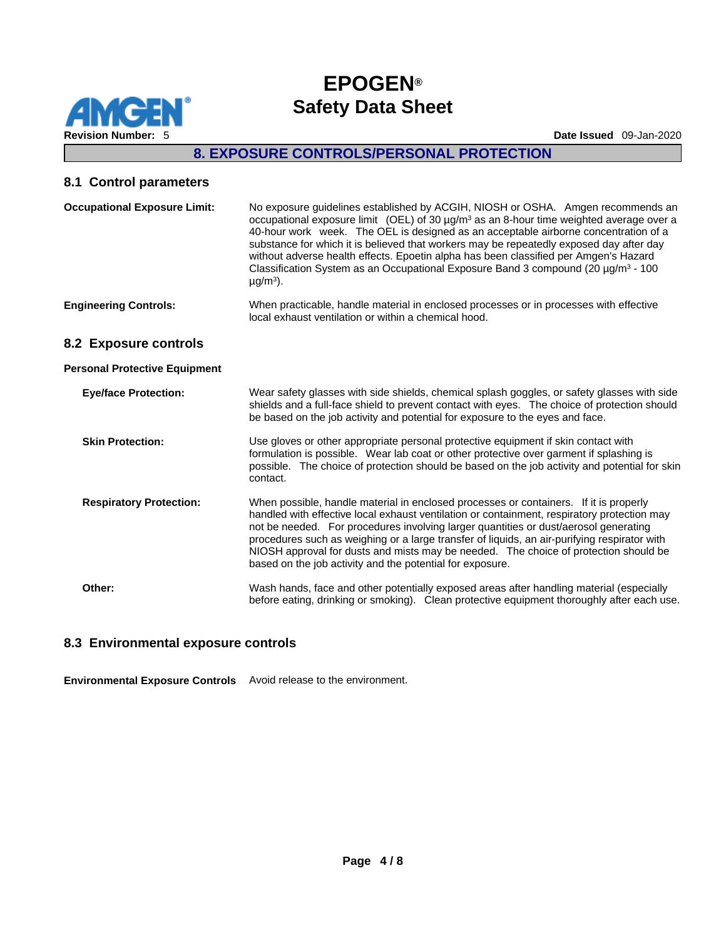

## **8. EXPOSURE CONTROLS/PERSONAL PROTECTION**

### **8.1 Control parameters**

| <b>Occupational Exposure Limit:</b>  | No exposure guidelines established by ACGIH, NIOSH or OSHA. Amgen recommends an<br>occupational exposure limit (OEL) of 30 $\mu$ g/m <sup>3</sup> as an 8-hour time weighted average over a<br>40-hour work week. The OEL is designed as an acceptable airborne concentration of a<br>substance for which it is believed that workers may be repeatedly exposed day after day<br>without adverse health effects. Epoetin alpha has been classified per Amgen's Hazard<br>Classification System as an Occupational Exposure Band 3 compound (20 $\mu$ g/m <sup>3</sup> - 100<br>$\mu$ g/m <sup>3</sup> ). |
|--------------------------------------|----------------------------------------------------------------------------------------------------------------------------------------------------------------------------------------------------------------------------------------------------------------------------------------------------------------------------------------------------------------------------------------------------------------------------------------------------------------------------------------------------------------------------------------------------------------------------------------------------------|
| <b>Engineering Controls:</b>         | When practicable, handle material in enclosed processes or in processes with effective<br>local exhaust ventilation or within a chemical hood.                                                                                                                                                                                                                                                                                                                                                                                                                                                           |
| 8.2 Exposure controls                |                                                                                                                                                                                                                                                                                                                                                                                                                                                                                                                                                                                                          |
| <b>Personal Protective Equipment</b> |                                                                                                                                                                                                                                                                                                                                                                                                                                                                                                                                                                                                          |
| <b>Eye/face Protection:</b>          | Wear safety glasses with side shields, chemical splash goggles, or safety glasses with side<br>shields and a full-face shield to prevent contact with eyes. The choice of protection should<br>be based on the job activity and potential for exposure to the eyes and face.                                                                                                                                                                                                                                                                                                                             |
| <b>Skin Protection:</b>              | Use gloves or other appropriate personal protective equipment if skin contact with<br>formulation is possible. Wear lab coat or other protective over garment if splashing is<br>possible. The choice of protection should be based on the job activity and potential for skin<br>contact.                                                                                                                                                                                                                                                                                                               |
| <b>Respiratory Protection:</b>       | When possible, handle material in enclosed processes or containers. If it is properly<br>handled with effective local exhaust ventilation or containment, respiratory protection may<br>not be needed. For procedures involving larger quantities or dust/aerosol generating<br>procedures augh as waighing as a lorge transfer of liquida, on air purifulng requiremential                                                                                                                                                                                                                              |

procedures such as weighing or a large transfer of liquids, an air-purifying respirator with NIOSH approval for dusts and mists may be needed. The choice of protection should be based on the job activity and the potential for exposure.

**Other:** Wash hands, face and other potentially exposed areas after handling material (especially before eating, drinking or smoking). Clean protective equipment thoroughly after each use.

### **8.3 Environmental exposure controls**

**Environmental Exposure Controls** Avoid release to the environment.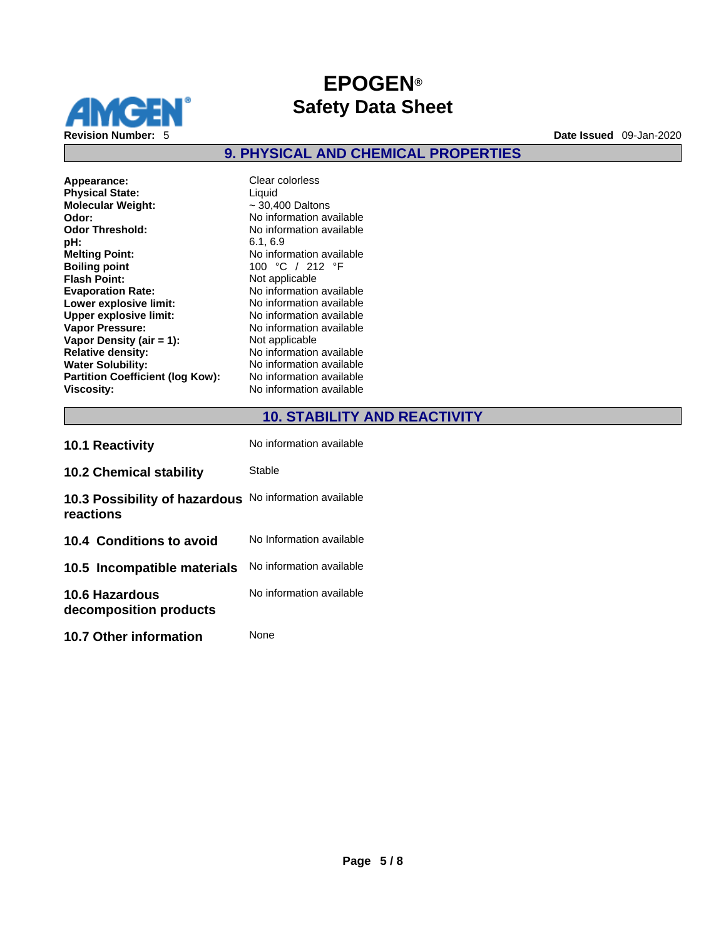

**9. PHYSICAL AND CHEMICAL PROPERTIES** 

| Appearance:<br><b>Physical State:</b><br><b>Molecular Weight:</b><br>Odor:<br>Odor Threshold:<br>pН:<br><b>Melting Point:</b><br><b>Boiling point</b><br><b>Flash Point:</b><br><b>Evaporation Rate:</b><br>Lower explosive limit:<br>Upper explosive limit:<br><b>Vapor Pressure:</b><br>Vapor Density (air = 1):<br><b>Relative density:</b><br><b>Water Solubility:</b> |
|----------------------------------------------------------------------------------------------------------------------------------------------------------------------------------------------------------------------------------------------------------------------------------------------------------------------------------------------------------------------------|
| <b>Partition Coefficient (log Kow):</b><br><b>Viscosity:</b>                                                                                                                                                                                                                                                                                                               |
|                                                                                                                                                                                                                                                                                                                                                                            |

**Appearance:** Clear colorless **Liquid Molecular Weight:** ~ 30,400 Daltons **Odor:** No information available **No information available pH:** 6.1, 6.9 **Melting Point:** No information available **Boiling point** 100 °C / 212 °F **Not applicable Evaporation Rate:** No information available **Lower explosive limit:** No information available **No information available No information available Not applicable Relative density:** No information available **No information available No information available Viscosity:** No information available

# **10. STABILITY AND REACTIVITY**

| <b>10.1 Reactivity</b>                          | No information available |
|-------------------------------------------------|--------------------------|
| <b>10.2 Chemical stability</b>                  | Stable                   |
| 10.3 Possibility of hazardous<br>reactions      | No information available |
| 10.4 Conditions to avoid                        | No Information available |
| 10.5 Incompatible materials                     | No information available |
| <b>10.6 Hazardous</b><br>decomposition products | No information available |
| <b>10.7 Other information</b>                   | None                     |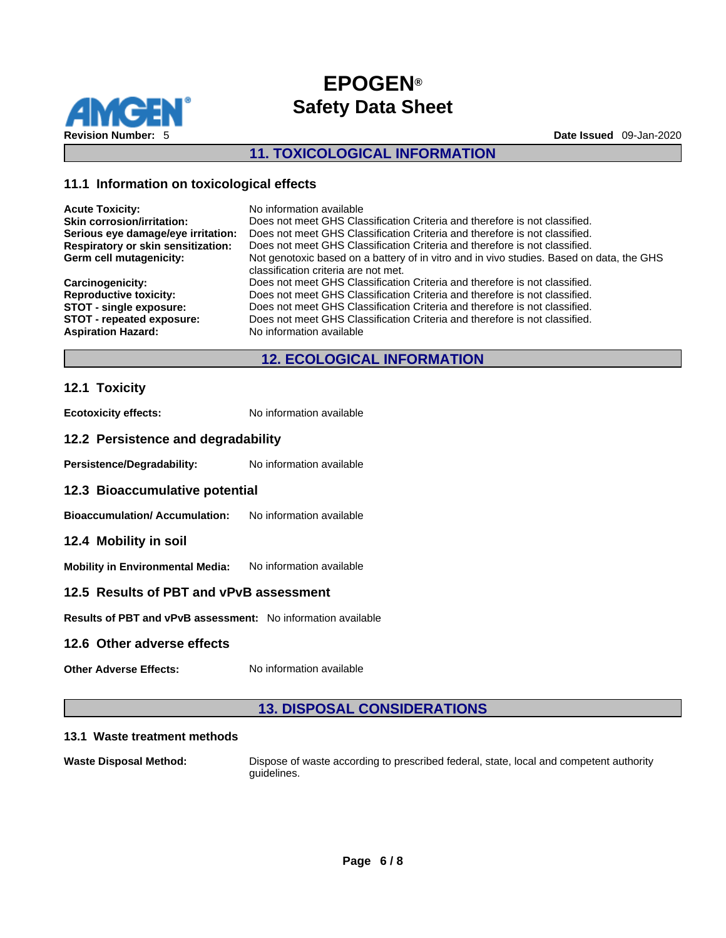

### **11. TOXICOLOGICAL INFORMATION**

### **11.1 Information on toxicological effects**

| <b>Acute Toxicity:</b>             | No information available                                                                 |
|------------------------------------|------------------------------------------------------------------------------------------|
| <b>Skin corrosion/irritation:</b>  | Does not meet GHS Classification Criteria and therefore is not classified.               |
| Serious eye damage/eye irritation: | Does not meet GHS Classification Criteria and therefore is not classified.               |
| Respiratory or skin sensitization: | Does not meet GHS Classification Criteria and therefore is not classified.               |
| Germ cell mutagenicity:            | Not genotoxic based on a battery of in vitro and in vivo studies. Based on data, the GHS |
|                                    | classification criteria are not met.                                                     |
| <b>Carcinogenicity:</b>            | Does not meet GHS Classification Criteria and therefore is not classified.               |
| <b>Reproductive toxicity:</b>      | Does not meet GHS Classification Criteria and therefore is not classified.               |
| <b>STOT - single exposure:</b>     | Does not meet GHS Classification Criteria and therefore is not classified.               |
| STOT - repeated exposure:          | Does not meet GHS Classification Criteria and therefore is not classified.               |
| <b>Aspiration Hazard:</b>          | No information available                                                                 |
|                                    |                                                                                          |

# **12. ECOLOGICAL INFORMATION**

### **12.1 Toxicity**

**Ecotoxicity effects:** No information available

### **12.2 Persistence and degradability**

Persistence/Degradability: No information available

#### **12.3 Bioaccumulative potential**

**Bioaccumulation/ Accumulation:** No information available

#### **12.4 Mobility in soil**

**Mobility in Environmental Media:** No information available

### **12.5 Results of PBT and vPvB assessment**

**Results of PBT and vPvB assessment:** No information available

### **12.6 Other adverse effects**

**Other Adverse Effects:** No information available

### **13. DISPOSAL CONSIDERATIONS**

#### **13.1 Waste treatment methods**

**Waste Disposal Method:** Dispose of waste according to prescribed federal, state, local and competent authority guidelines.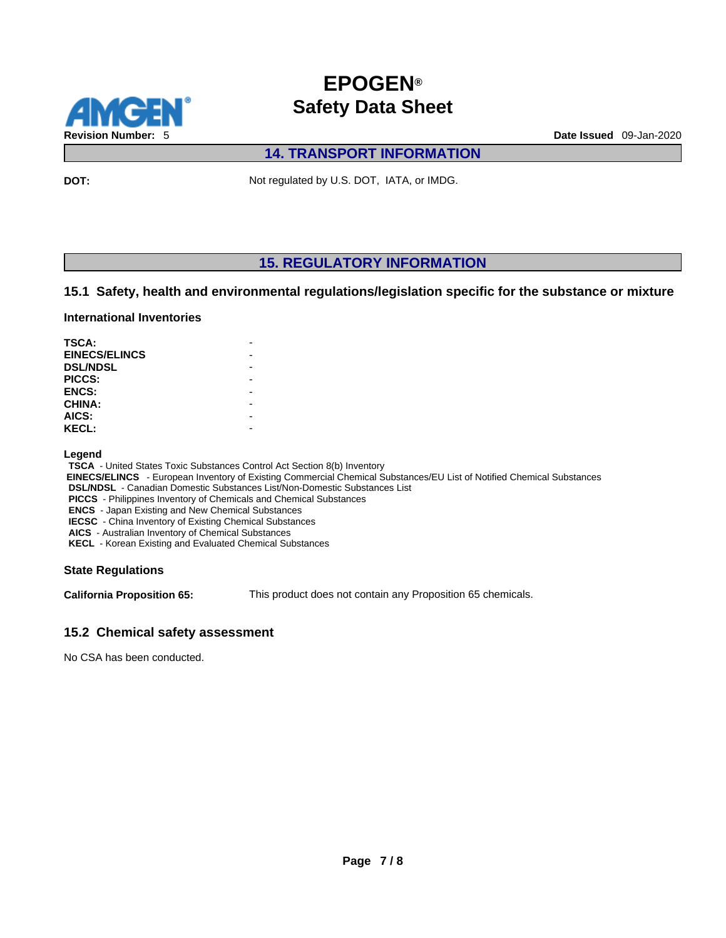

# **14. TRANSPORT INFORMATION**

**DOT:** Not regulated by U.S. DOT, IATA, or IMDG.

### **15. REGULATORY INFORMATION**

### **15.1 Safety, health and environmental regulations/legislation specific for the substance or mixture**

#### **International Inventories**

| TSCA:                |  |
|----------------------|--|
| <b>EINECS/ELINCS</b> |  |
| <b>DSL/NDSL</b>      |  |
| PICCS:               |  |
| <b>ENCS:</b>         |  |
| <b>CHINA:</b>        |  |
| AICS:                |  |
| <b>KECL:</b>         |  |

#### **Legend**

**TSCA** - United States Toxic Substances Control Act Section 8(b) Inventory

 **EINECS/ELINCS** - European Inventory of Existing Commercial Chemical Substances/EU List of Notified Chemical Substances

**DSL/NDSL** - Canadian Domestic Substances List/Non-Domestic Substances List

**PICCS** - Philippines Inventory of Chemicals and Chemical Substances

**ENCS** - Japan Existing and New Chemical Substances

**IECSC** - China Inventory of Existing Chemical Substances

**AICS** - Australian Inventory of Chemical Substances **KECL** - Korean Existing and Evaluated Chemical Substances

### **State Regulations**

**California Proposition 65:** This product does not contain any Proposition 65 chemicals.

### **15.2 Chemical safety assessment**

No CSA has been conducted.